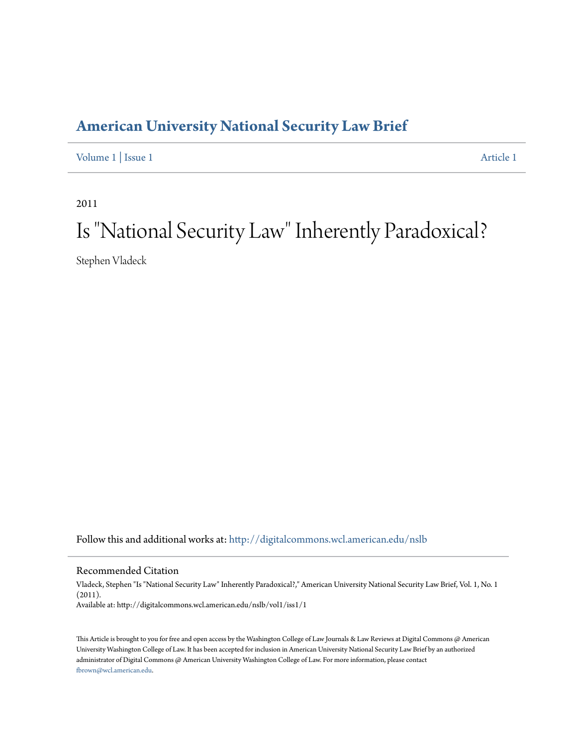## **[American University National Security Law Brief](http://digitalcommons.wcl.american.edu/nslb?utm_source=digitalcommons.wcl.american.edu%2Fnslb%2Fvol1%2Fiss1%2F1&utm_medium=PDF&utm_campaign=PDFCoverPages)**

[Volume 1](http://digitalcommons.wcl.american.edu/nslb/vol1?utm_source=digitalcommons.wcl.american.edu%2Fnslb%2Fvol1%2Fiss1%2F1&utm_medium=PDF&utm_campaign=PDFCoverPages) | [Issue 1](http://digitalcommons.wcl.american.edu/nslb/vol1/iss1?utm_source=digitalcommons.wcl.american.edu%2Fnslb%2Fvol1%2Fiss1%2F1&utm_medium=PDF&utm_campaign=PDFCoverPages) [Article 1](http://digitalcommons.wcl.american.edu/nslb/vol1/iss1/1?utm_source=digitalcommons.wcl.american.edu%2Fnslb%2Fvol1%2Fiss1%2F1&utm_medium=PDF&utm_campaign=PDFCoverPages)

2011

## Is "National Security Law" Inherently Paradoxical?

Stephen Vladeck

Follow this and additional works at: [http://digitalcommons.wcl.american.edu/nslb](http://digitalcommons.wcl.american.edu/nslb?utm_source=digitalcommons.wcl.american.edu%2Fnslb%2Fvol1%2Fiss1%2F1&utm_medium=PDF&utm_campaign=PDFCoverPages)

Recommended Citation

Vladeck, Stephen "Is "National Security Law" Inherently Paradoxical?," American University National Security Law Brief, Vol. 1, No. 1 (2011). Available at: http://digitalcommons.wcl.american.edu/nslb/vol1/iss1/1

This Article is brought to you for free and open access by the Washington College of Law Journals & Law Reviews at Digital Commons @ American University Washington College of Law. It has been accepted for inclusion in American University National Security Law Brief by an authorized administrator of Digital Commons @ American University Washington College of Law. For more information, please contact [fbrown@wcl.american.edu](mailto:fbrown@wcl.american.edu).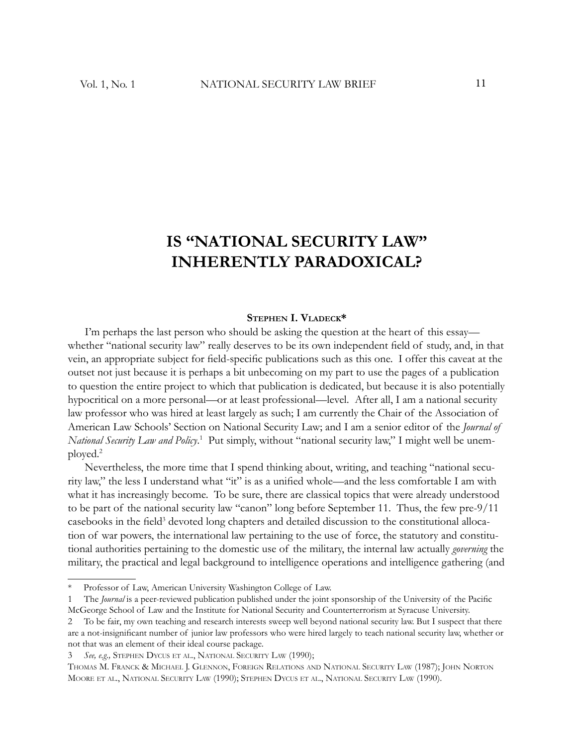## **IS "NATIONAL SECURITY LAW" INHERENTLY PARADOXICAL?**

## **STEPHEN I. VLADECK \***

I'm perhaps the last person who should be asking the question at the heart of this essay whether "national security law" really deserves to be its own independent field of study, and, in that vein, an appropriate subject for field-specific publications such as this one. I offer this caveat at the outset not just because it is perhaps a bit unbecoming on my part to use the pages of a publication to question the entire project to which that publication is dedicated, but because it is also potentially hypocritical on a more personal—or at least professional—level. After all, I am a national security law professor who was hired at least largely as such; I am currently the Chair of the Association of American Law Schools' Section on National Security Law; and I am a senior editor of the *Journal of National Security Law and Policy*.<sup>1</sup> Put simply, without "national security law," I might well be unemployed.<sup>2</sup>

Nevertheless, the more time that I spend thinking about, writing, and teaching "national security law," the less I understand what "it" is as a unified whole—and the less comfortable I am with what it has increasingly become. To be sure, there are classical topics that were already understood to be part of the national security law "canon" long before September 11. Thus, the few pre-9/11 casebooks in the field<sup>3</sup> devoted long chapters and detailed discussion to the constitutional allocation of war powers, the international law pertaining to the use of force, the statutory and constitutional authorities pertaining to the domestic use of the military, the internal law actually *governing* the military, the practical and legal background to intelligence operations and intelligence gathering (and

Professor of Law, American University Washington College of Law.

<sup>1</sup> The *Journal* is a peer-reviewed publication published under the joint sponsorship of the University of the Pacific McGeorge School of Law and the Institute for National Security and Counterterrorism at Syracuse University.

<sup>2</sup> To be fair, my own teaching and research interests sweep well beyond national security law. But I suspect that there are a not-insignificant number of junior law professors who were hired largely to teach national security law, whether or not that was an element of their ideal course package.

<sup>3</sup> *See, e.g.,* STEPHEN DYCUS ET AL., NATIONAL SECURITY LAW (1990);

THOMAS M. FRANCK & MICHAEL J. GLENNON, FOREIGN RELATIONS AND NATIONAL SECURITY LAW (1987); JOHN NORTON MOORE ET AL., NATIONAL SECURITY LAW (1990); STEPHEN DYCUS ET AL., NATIONAL SECURITY LAW (1990).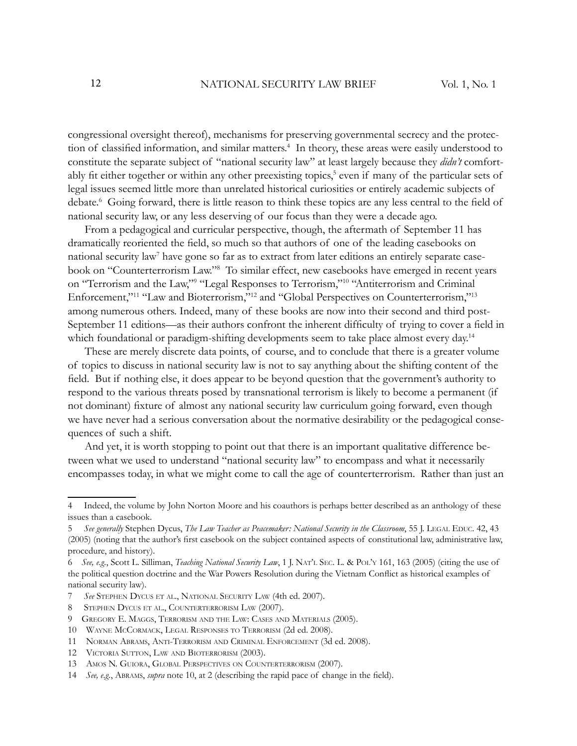congressional oversight thereof), mechanisms for preserving governmental secrecy and the protection of classified information, and similar matters.<sup>4</sup> In theory, these areas were easily understood to constitute the separate subject of "national security law" at least largely because they *didn't* comfortably fit either together or within any other preexisting topics,<sup>5</sup> even if many of the particular sets of legal issues seemed little more than unrelated historical curiosities or entirely academic subjects of debate.<sup>6</sup> Going forward, there is little reason to think these topics are any less central to the field of national security law, or any less deserving of our focus than they were a decade ago.

From a pedagogical and curricular perspective, though, the aftermath of September 11 has dramatically reoriented the field, so much so that authors of one of the leading casebooks on national security law<sup>7</sup> have gone so far as to extract from later editions an entirely separate casebook on "Counterterrorism Law."<sup>8</sup> To similar effect, new casebooks have emerged in recent years on "Terrorism and the Law," "Legal Responses to Terrorism,"<sup>10</sup> "Antiterrorism and Criminal Enforcement,"<sup>11</sup> "Law and Bioterrorism,"<sup>12</sup> and "Global Perspectives on Counterterrorism,"<sup>13</sup> among numerous others. Indeed, many of these books are now into their second and third post-September 11 editions—as their authors confront the inherent difficulty of trying to cover a field in which foundational or paradigm-shifting developments seem to take place almost every day.<sup>14</sup>

These are merely discrete data points, of course, and to conclude that there is a greater volume of topics to discuss in national security law is not to say anything about the shifting content of the field. But if nothing else, it does appear to be beyond question that the government's authority to respond to the various threats posed by transnational terrorism is likely to become a permanent (if not dominant) fixture of almost any national security law curriculum going forward, even though we have never had a serious conversation about the normative desirability or the pedagogical consequences of such a shift.

And yet, it is worth stopping to point out that there is an important qualitative difference between what we used to understand "national security law" to encompass and what it necessarily encompasses today, in what we might come to call the age of counterterrorism. Rather than just an

<sup>4</sup> Indeed, the volume by John Norton Moore and his coauthors is perhaps better described as an anthology of these issues than a casebook.

<sup>5</sup> *See generally* Stephen Dycus, *The Law Teacher as Peacemaker: National Security in the Classroom*, 55 J. LEGAL EDUC. 42, 43 (2005) (noting that the author's first casebook on the subject contained aspects of constitutional law, administrative law, procedure, and history).

<sup>6</sup> *See, e.g.*, Scott L. Silliman, *Teaching National Security Law*, 1 J. NAT'L SEC. L. & POL'Y 161, 163 (2005) (citing the use of the political question doctrine and the War Powers Resolution during the Vietnam Conflict as historical examples of national security law).

<sup>7</sup> *See* STEPHEN DYCUS ET AL., NATIONAL SECURITY LAW (4th ed. 2007).

<sup>8</sup> STEPHEN DYCUS ET AL., COUNTERTERRORISM LAW (2007).

<sup>9</sup> GREGORY E. MAGGS, TERRORISM AND THE LAW: CASES AND MATERIALS (2005).

<sup>10</sup> WAYNE MCCORMACK, LEGAL RESPONSES TO TERRORISM (2d ed. 2008).

<sup>11</sup> NORMAN ABRAMS, ANTI-TERRORISM AND CRIMINAL ENFORCEMENT (3d ed. 2008).

<sup>12</sup> VICTORIA SUTTON, LAW AND BIOTERRORISM (2003).

<sup>13</sup> AMOS N. GUIORA, GLOBAL PERSPECTIVES ON COUNTERTERRORISM (2007).

<sup>14</sup> *See, e.g.*, ABRAMS, *supra* note 10, at 2 (describing the rapid pace of change in the field).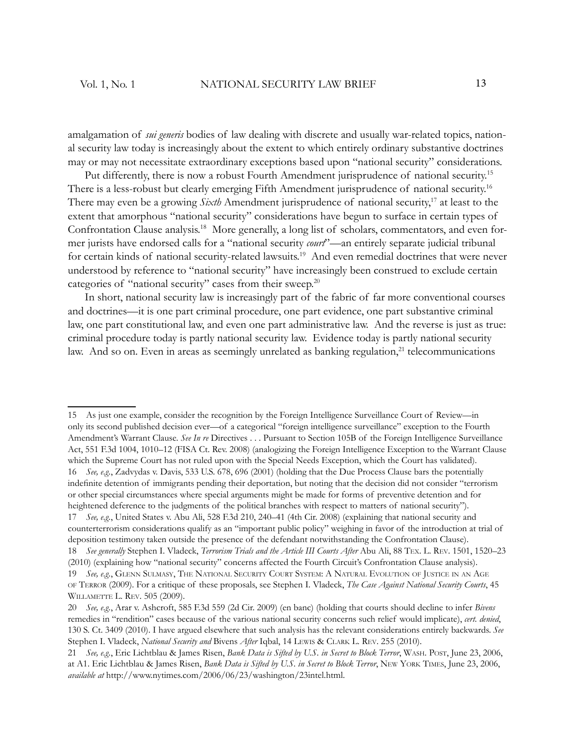amalgamation of *sui generis* bodies of law dealing with discrete and usually war-related topics, national security law today is increasingly about the extent to which entirely ordinary substantive doctrines may or may not necessitate extraordinary exceptions based upon "national security" considerations.

Put differently, there is now a robust Fourth Amendment jurisprudence of national security.<sup>15</sup> There is a less-robust but clearly emerging Fifth Amendment jurisprudence of national security.<sup>16</sup> There may even be a growing *Sixth* Amendment jurisprudence of national security,<sup>17</sup> at least to the extent that amorphous "national security" considerations have begun to surface in certain types of Confrontation Clause analysis. 18 More generally, a long list of scholars, commentators, and even former jurists have endorsed calls for a "national security *court*"—an entirely separate judicial tribunal for certain kinds of national security-related lawsuits.<sup>19</sup> And even remedial doctrines that were never understood by reference to "national security" have increasingly been construed to exclude certain categories of "national security" cases from their sweep.<sup>20</sup>

In short, national security law is increasingly part of the fabric of far more conventional courses and doctrines—it is one part criminal procedure, one part evidence, one part substantive criminal law, one part constitutional law, and even one part administrative law. And the reverse is just as true: criminal procedure today is partly national security law. Evidence today is partly national security law. And so on. Even in areas as seemingly unrelated as banking regulation,<sup>21</sup> telecommunications

15 As just one example, consider the recognition by the Foreign Intelligence Surveillance Court of Review—in only its second published decision ever—of a categorical "foreign intelligence surveillance" exception to the Fourth Amendment's Warrant Clause. *See In re* Directives . . . Pursuant to Section 105B of the Foreign Intelligence Surveillance Act, 551 F.3d 1004, 1010–12 (FISA Ct. Rev. 2008) (analogizing the Foreign Intelligence Exception to the Warrant Clause which the Supreme Court has not ruled upon with the Special Needs Exception, which the Court has validated). 16 *See, e.g.*, Zadvydas v. Davis, 533 U.S. 678, 696 (2001) (holding that the Due Process Clause bars the potentially indefinite detention of immigrants pending their deportation, but noting that the decision did not consider "terrorism" or other special circumstances where special arguments might be made for forms of preventive detention and for heightened deference to the judgments of the political branches with respect to matters of national security"). 17 *See, e.g.*, United States v. Abu Ali, 528 F.3d 210, 240–41 (4th Cir. 2008) (explaining that national security and counterterrorism considerations qualify as an "important public policy" weighing in favor of the introduction at trial of deposition testimony taken outside the presence of the defendant notwithstanding the Confrontation Clause). 18 *See generally* Stephen I. Vladeck, *Terrorism Trials and the Article III Courts After* Abu Ali, 88 TEX. L. REV. 1501, 1520–23

<sup>(2010) (</sup>explaining how "national security" concerns affected the Fourth Circuit's Confrontation Clause analysis). 19 *See, e.g.*, GLENN SULMASY, THE NATIONAL SECURITY COURT SYSTEM: A NATURAL EVOLUTION OF JUSTICE IN AN AGE OF TERROR (2009). For a critique of these proposals, see Stephen I. Vladeck, *The Case Against National Security Courts*, 45 WILLAMETTE L. REV. 505 (2009).

<sup>20</sup> *See, e.g.*, Arar v. Ashcroft, 585 F.3d 559 (2d Cir. 2009) (en banc) (holding that courts should decline to infer *Bivens* remedies in "rendition" cases because of the various national security concerns such relief would implicate), *cert. denied*, 130 S. Ct. 3409 (2010). I have argued elsewhere that such analysis has the relevant considerations entirely backwards. *See*  Stephen I. Vladeck, *National Security and* Bivens *After* Iqbal, 14 LEWIS & CLARK L. REV. 255 (2010).

<sup>21</sup> *See, e.g.*, Eric Lichtblau & James Risen, *Bank Data is Sifted by U.S. in Secret to Block Terror*, WASH. POST, June 23, 2006, at A1. Eric Lichtblau & James Risen, *Bank Data is Sifted by U.S. in Secret to Block Terror*, NEW YORK TIMES, June 23, 2006, *available at* http://www.nytimes.com/2006/06/23/washington/23intel.html.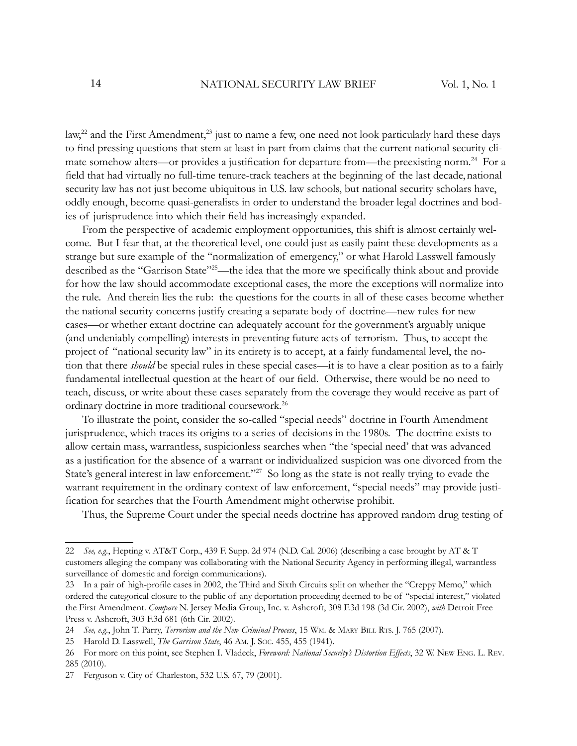law,<sup>22</sup> and the First Amendment,<sup>23</sup> just to name a few, one need not look particularly hard these days to find pressing questions that stem at least in part from claims that the current national security climate somehow alters—or provides a justification for departure from—the preexisting norm.<sup>24</sup> For a field that had virtually no full-time tenure-track teachers at the beginning of the last decade, national security law has not just become ubiquitous in U.S. law schools, but national security scholars have, oddly enough, become quasi-generalists in order to understand the broader legal doctrines and bodies of jurisprudence into which their field has increasingly expanded.

From the perspective of academic employment opportunities, this shift is almost certainly welcome. But I fear that, at the theoretical level, one could just as easily paint these developments as a strange but sure example of the "normalization of emergency," or what Harold Lasswell famously described as the "Garrison State"<sup>25</sup>—the idea that the more we specifically think about and provide for how the law should accommodate exceptional cases, the more the exceptions will normalize into the rule. And therein lies the rub: the questions for the courts in all of these cases become whether the national security concerns justify creating a separate body of doctrine—new rules for new cases—or whether extant doctrine can adequately account for the government's arguably unique (and undeniably compelling) interests in preventing future acts of terrorism. Thus, to accept the project of "national security law" in its entirety is to accept, at a fairly fundamental level, the notion that there *should* be special rules in these special cases—it is to have a clear position as to a fairly fundamental intellectual question at the heart of our field. Otherwise, there would be no need to teach, discuss, or write about these cases separately from the coverage they would receive as part of ordinary doctrine in more traditional coursework.<sup>26</sup>

To illustrate the point, consider the so-called "special needs" doctrine in Fourth Amendment jurisprudence, which traces its origins to a series of decisions in the 1980s. The doctrine exists to allow certain mass, warrantless, suspicionless searches when "the 'special need' that was advanced as a justification for the absence of a warrant or individualized suspicion was one divorced from the State's general interest in law enforcement."<sup>27</sup> So long as the state is not really trying to evade the warrant requirement in the ordinary context of law enforcement, "special needs" may provide justification for searches that the Fourth Amendment might otherwise prohibit.

Thus, the Supreme Court under the special needs doctrine has approved random drug testing of

<sup>22</sup> *See, e.g.*, Hepting v. AT&T Corp., 439 F. Supp. 2d 974 (N.D. Cal. 2006) (describing a case brought by AT & T customers alleging the company was collaborating with the National Security Agency in performing illegal, warrantless surveillance of domestic and foreign communications).

<sup>23</sup> In a pair of high-profile cases in 2002, the Third and Sixth Circuits split on whether the "Creppy Memo," which ordered the categorical closure to the public of any deportation proceeding deemed to be of "special interest," violated the First Amendment. *Compare* N. Jersey Media Group, Inc. v. Ashcroft, 308 F.3d 198 (3d Cir. 2002), *with* Detroit Free Press v. Ashcroft, 303 F.3d 681 (6th Cir. 2002).

<sup>24</sup> *See, e.g.*, John T. Parry, *Terrorism and the New Criminal Process*, 15 WM. & MARY BILL RTS. J. 765 (2007).

<sup>25</sup> Harold D. Lasswell, *The Garrison State*, 46 AM. J. SOC. 455, 455 (1941).

<sup>26</sup> For more on this point, see Stephen I. Vladeck, *Foreword: National Security's Distortion Effects*, 32 W. NEW ENG. L. REV. 285 (2010).

<sup>27</sup> Ferguson v. City of Charleston, 532 U.S. 67, 79 (2001).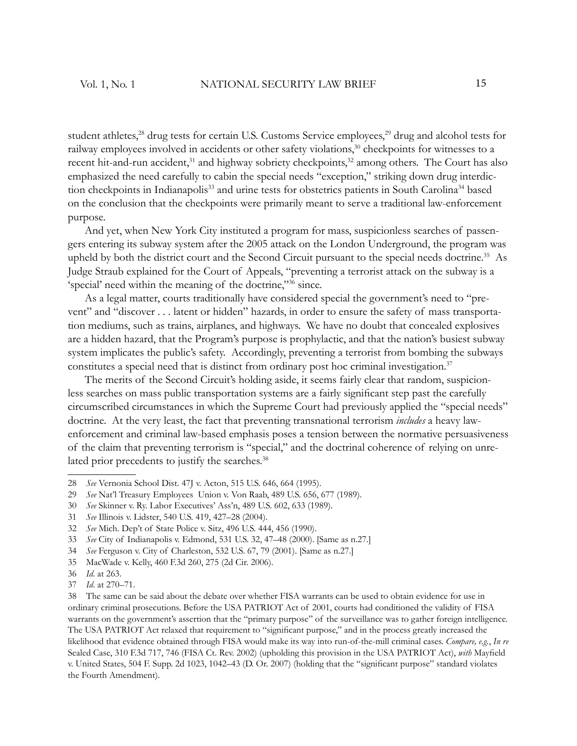student athletes,<sup>28</sup> drug tests for certain U.S. Customs Service employees,<sup>29</sup> drug and alcohol tests for railway employees involved in accidents or other safety violations,<sup>30</sup> checkpoints for witnesses to a recent hit-and-run accident,<sup>31</sup> and highway sobriety checkpoints,<sup>32</sup> among others. The Court has also emphasized the need carefully to cabin the special needs "exception," striking down drug interdiction checkpoints in Indianapolis<sup>33</sup> and urine tests for obstetrics patients in South Carolina<sup>34</sup> based on the conclusion that the checkpoints were primarily meant to serve a traditional law-enforcement purpose.

And yet, when New York City instituted a program for mass, suspicionless searches of passengers entering its subway system after the 2005 attack on the London Underground, the program was upheld by both the district court and the Second Circuit pursuant to the special needs doctrine.<sup>35</sup> As Judge Straub explained for the Court of Appeals, "preventing a terrorist attack on the subway is a 'special' need within the meaning of the doctrine,"<sup>36</sup> since.

As a legal matter, courts traditionally have considered special the government's need to "prevent" and "discover . . . latent or hidden" hazards, in order to ensure the safety of mass transportation mediums, such as trains, airplanes, and highways. We have no doubt that concealed explosives are a hidden hazard, that the Program's purpose is prophylactic, and that the nation's busiest subway system implicates the public's safety. Accordingly, preventing a terrorist from bombing the subways constitutes a special need that is distinct from ordinary post hoc criminal investigation.<sup>37</sup>

The merits of the Second Circuit's holding aside, it seems fairly clear that random, suspicionless searches on mass public transportation systems are a fairly significant step past the carefully circumscribed circumstances in which the Supreme Court had previously applied the "special needs" doctrine. At the very least, the fact that preventing transnational terrorism *includes* a heavy lawenforcement and criminal law-based emphasis poses a tension between the normative persuasiveness of the claim that preventing terrorism is "special," and the doctrinal coherence of relying on unrelated prior precedents to justify the searches.<sup>38</sup>

38 The same can be said about the debate over whether FISA warrants can be used to obtain evidence for use in ordinary criminal prosecutions. Before the USA PATRIOT Act of 2001, courts had conditioned the validity of FISA warrants on the government's assertion that the "primary purpose" of the surveillance was to gather foreign intelligence. The USA PATRIOT Act relaxed that requirement to "significant purpose," and in the process greatly increased the likelihood that evidence obtained through FISA would make its way into run-of-the-mill criminal cases. *Compare, e.g.*, *In re*  Sealed Case, 310 F.3d 717, 746 (FISA Ct. Rev. 2002) (upholding this provision in the USA PATRIOT Act), *with* Mayfield v. United States, 504 F. Supp. 2d 1023, 1042–43 (D. Or. 2007) (holding that the "significant purpose" standard violates the Fourth Amendment).

<sup>28</sup> *See* Vernonia School Dist. 47J v. Acton, 515 U.S. 646, 664 (1995).

<sup>29</sup> *See* Nat'l Treasury Employees Union v. Von Raab, 489 U.S. 656, 677 (1989).

<sup>30</sup> *See* Skinner v. Ry. Labor Executives' Ass'n, 489 U.S. 602, 633 (1989).

<sup>31</sup> *See* Illinois v. Lidster, 540 U.S. 419, 427–28 (2004).

<sup>32</sup> *See* Mich. Dep't of State Police v. Sitz, 496 U.S. 444, 456 (1990).

<sup>33</sup> *See* City of Indianapolis v. Edmond, 531 U.S. 32, 47–48 (2000). [Same as n.27.]

<sup>34</sup> *See* Ferguson v. City of Charleston, 532 U.S. 67, 79 (2001). [Same as n.27.]

<sup>35</sup> MacWade v. Kelly, 460 F.3d 260, 275 (2d Cir. 2006).

<sup>36</sup> *Id*. at 263.

<sup>37</sup> *Id*. at 270–71.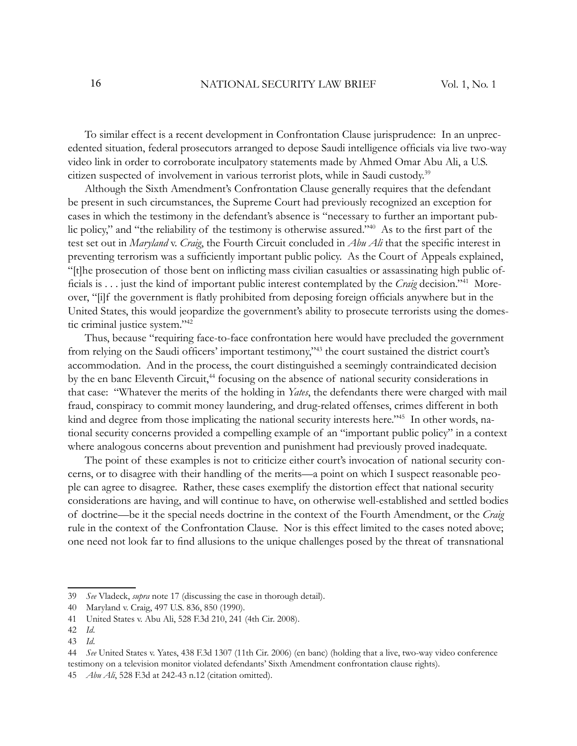To similar effect is a recent development in Confrontation Clause jurisprudence: In an unprecedented situation, federal prosecutors arranged to depose Saudi intelligence officials via live two-way video link in order to corroborate inculpatory statements made by Ahmed Omar Abu Ali, a U.S. citizen suspected of involvement in various terrorist plots, while in Saudi custody.<sup>39</sup>

Although the Sixth Amendment's Confrontation Clause generally requires that the defendant be present in such circumstances, the Supreme Court had previously recognized an exception for cases in which the testimony in the defendant's absence is "necessary to further an important public policy," and "the reliability of the testimony is otherwise assured."<sup>40</sup> As to the first part of the test set out in *Maryland* v. *Craig*, the Fourth Circuit concluded in *Abu Ali* that the specific interest in preventing terrorism was a sufficiently important public policy. As the Court of Appeals explained, "[t]he prosecution of those bent on inflicting mass civilian casualties or assassinating high public officials is . . . just the kind of important public interest contemplated by the *Craig* decision."<sup>41</sup> Moreover, "[i]f the government is flatly prohibited from deposing foreign officials anywhere but in the United States, this would jeopardize the government's ability to prosecute terrorists using the domestic criminal justice system."<sup>42</sup>

Thus, because "requiring face-to-face confrontation here would have precluded the government from relying on the Saudi officers' important testimony,"<sup>43</sup> the court sustained the district court's accommodation. And in the process, the court distinguished a seemingly contraindicated decision by the en banc Eleventh Circuit,<sup>44</sup> focusing on the absence of national security considerations in that case: "Whatever the merits of the holding in *Yates*, the defendants there were charged with mail fraud, conspiracy to commit money laundering, and drug-related offenses, crimes different in both kind and degree from those implicating the national security interests here."<sup>45</sup> In other words, national security concerns provided a compelling example of an "important public policy" in a context where analogous concerns about prevention and punishment had previously proved inadequate.

The point of these examples is not to criticize either court's invocation of national security concerns, or to disagree with their handling of the merits—a point on which I suspect reasonable people can agree to disagree. Rather, these cases exemplify the distortion effect that national security considerations are having, and will continue to have, on otherwise well-established and settled bodies of doctrine—be it the special needs doctrine in the context of the Fourth Amendment, or the *Craig* rule in the context of the Confrontation Clause. Nor is this effect limited to the cases noted above; one need not look far to find allusions to the unique challenges posed by the threat of transnational

<sup>39</sup> *See* Vladeck, *supra* note 17 (discussing the case in thorough detail).

<sup>40</sup> Maryland v. Craig, 497 U.S. 836, 850 (1990).

<sup>41</sup> United States v. Abu Ali, 528 F.3d 210, 241 (4th Cir. 2008).

<sup>42</sup> *Id*.

<sup>43</sup> *Id*.

<sup>44</sup> *See* United States v. Yates, 438 F.3d 1307 (11th Cir. 2006) (en banc) (holding that a live, two-way video conference testimony on a television monitor violated defendants' Sixth Amendment confrontation clause rights).

<sup>45</sup> *Abu Ali*, 528 F.3d at 242-43 n.12 (citation omitted).